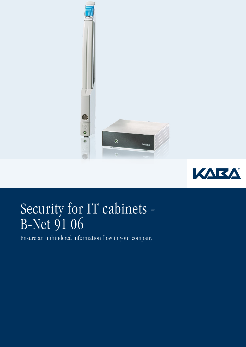



# Security for IT cabinets - B-Net 91 06

Ensure an unhindered information flow in your company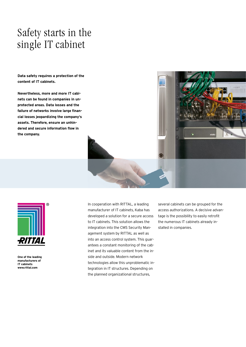## Safety starts in the single IT cabinet

**Data safety requires a protection of the content of IT cabinets.**

**Nevertheless, more and more IT cabinets can be found in companies in unprotected areas. Data losses and the failure of networks involve large financial losses jeopardizing the company's assets. Therefore, ensure an unhindered and secure information flow in the company.**





**One of the leading manufacturers of IT cabinets www.rittal.com**

In cooperation with RITTAL, a leading manufacturer of IT cabinets, Kaba has developed a solution for a secure access to IT cabinets. This solution allows the integration into the CMS Security Management system by RITTAL as well as into an access control system. This guarantees a constant monitoring of the cabinet and its valuable content from the inside and outside. Modern network technologies allow this unproblematic integration in IT structures. Depending on the planned organizational structures,

several cabinets can be grouped for the access authorizations. A decisive advantage is the possibility to easily retrofit the numerous IT cabinets already installed in companies.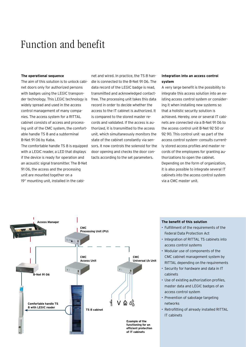### Function and benefit

#### **The operational sequence**

The aim of this solution is to unlock cabinet doors only for authorized persons with badges using the LEGIC transponder technology. This LEGIC technology is widely spread and used in the access control management of many companies. The access system for a RITTAL cabinet consists of access and processing unit of the CMC system, the comfortable handle TS 8 and a subterminal B-Net 91 06 by Kaba.

The comfortable handle TS 8 is equipped with a LEGIC reader, a LED that displays if the device is ready for operation and an acoustic signal transmitter. The B-Net 91 06, the access and the processing unit are mounted together on a 19" mounting unit, installed in the cabinet and wired. In practice, the TS 8 handle is connected to the B-Net 91 06. The data record of the LEGIC badge is read, transmitted and acknowledged contactfree. The processing unit takes this data record in order to decide whether the access to the IT cabinet is authorized. It is compared to the stored master records and validated. If the access is authorized, it is transmitted to the access unit, which simultaneously monitors the state of the cabinet constantly via sensors. It now controls the solenoid for the door opening and checks the door contacts according to the set parameters.

#### **Integration into an access control system**

A very large benefit is the possibility to integrate this access solution into an existing access control system or considering it when installing new systems so that a holistic security solution is achieved. Hereby, one or several IT cabinets are connected via a B-Net 91 06 to the access control unit B-Net 92 50 or 92 90. This control unit -as part of the access control system- consults currently stored access profiles and master records of the employees for granting authorizations to open the cabinet. Depending on the form of organization, it is also possible to integrate several IT cabinets into the access control system via a CMC master unit.



#### **The benefit of this solution**

- Fulfillment of the requirements of the Federal Data Protection Act
- Integration of RITTAL TS cabinets into access control systems
- Modular use of components of the CMC cabinet management system by RITTAL depending on the requirements
- Security for hardware and data in IT cabinets
- Use of existing authorization profiles, master data and LEGIC badges of an access control system
- Prevention of sabotage targeting networks
- Retrofitting of already installed RITTAL IT cabinets